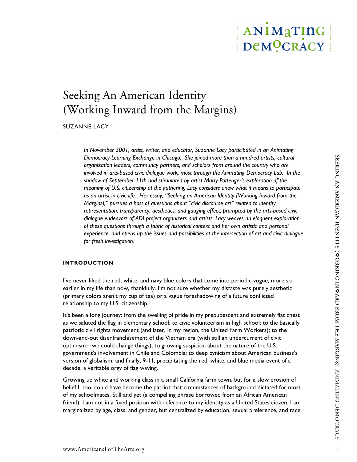# ANIMATING DeMOCRACY

## Seeking An American Identity (Working Inward from the Margins)

SUZANNE LACY

*In November 2001, artist, writer, and educator, Suzanne Lacy participated in an Animating Democracy Learning Exchange in Chicago. She joined more than a hundred artists, cultural organization leaders, community partners, and scholars from around the country who are involved in arts-based civic dialogue work, most through the Animating Democracy Lab. In the shadow of September 11th and stimulated by artist Marty Pottenger's exploration of the meaning of U.S. citizenship at the gathering, Lacy considers anew what it means to participate as an artist in civic life. Her essay, "Seeking an American Identity (Working Inward from the Margins)," pursues a host of questions about "civic discourse art" related to identity, representation, transparency, aesthetics, and gauging effect, prompted by the arts-based civic dialogue endeavors of ADI project organizers and artists. Lacy weaves an eloquent exploration of these questions through a fabric of historical context and her own artistic and personal experience, and opens up the issues and possibilities at the intersection of art and civic dialogue for fresh investigation.* 

### **INTRODUCTION**

I've never liked the red, white, and navy blue colors that come into periodic vogue, more so earlier in my life than now, thankfully. I'm not sure whether my distaste was purely aesthetic (primary colors aren't my cup of tea) or a vague foreshadowing of a future conflicted relationship to my U.S. citizenship.

It's been a long journey: from the swelling of pride in my prepubescent and extremely flat chest as we saluted the flag in elementary school; to civic volunteerism in high school; to the basically patriotic civil rights movement (and later, in my region, the United Farm Workers); to the down-and-out disenfranchisement of the Vietnam era (with still an undercurrent of civic optimism—we could change things); to growing suspicion about the nature of the U.S. government's involvement in Chile and Colombia; to deep cynicism about American business's version of globalism; and finally, 9-11, precipitating the red, white, and blue media event of a decade, a veritable orgy of flag waving.

Growing up white and working class in a small California farm town, but for a slow erosion of belief I, too, could have become the patriot that circumstances of background dictated for most of my schoolmates. Still and yet (a compelling phrase borrowed from an African American friend), I am not in a fixed position with reference to my identity as a United States citizen. I am marginalized by age, class, and gender, but centralized by education, sexual preference, and race.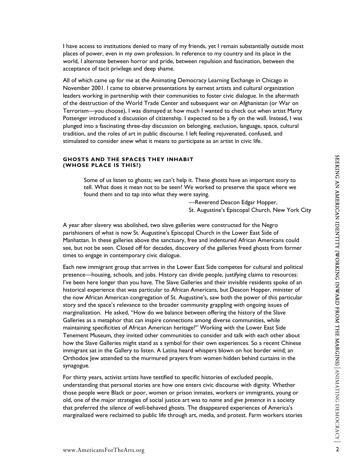I have access to institutions denied to many of my friends, yet I remain substantially outside most places of power, even in my own profession. In reference to my country and its place in the world, I alternate between horror and pride, between repulsion and fascination, between the acceptance of tacit privilege and deep shame.

All of which came up for me at the Animating Democracy Learning Exchange in Chicago in November 2001. I came to observe presentations by earnest artists and cultural organization leaders working in partnership with their communities to foster civic dialogue. In the aftermath of the destruction of the World Trade Center and subsequent war on Afghanistan (or War on Terrorism—you choose), I was dismayed at how much I wanted to check out when artist Marty Pottenger introduced a discussion of citizenship. I expected to be a fly on the wall. Instead, I was plunged into a fascinating three-day discussion on belonging, exclusion, language, space, cultural tradition, and the roles of art in public discourse. I left feeling rejuvenated, confused, and stimulated to consider anew what it means to participate as an artist in civic life.

#### **GHOSTS AND THE SPACES THEY INHABIT (WHOSE PLACE IS THIS?)**

Some of us listen to ghosts; we can't help it. These ghosts have an important story to tell. What does it mean not to be seen? We worked to preserve the space where we found them and to tap into what they were saying.

> —Reverend Deacon Edgar Hopper, St. Augustine's Episcopal Church, New York City

A year after slavery was abolished, two slave galleries were constructed for the Negro parishioners of what is now St. Augustine's Episcopal Church in the Lower East Side of Manhattan. In these galleries above the sanctuary, free and indentured African Americans could see, but not be seen. Closed off for decades, discovery of the galleries freed ghosts from former times to engage in contemporary civic dialogue.

Each new immigrant group that arrives in the Lower East Side competes for cultural and political presence—housing, schools, and jobs. History can divide people, justifying claims to resources: I've been here longer than you have. The Slave Galleries and their invisible residents spoke of an historical experience that was particular to African Americans, but Deacon Hopper, minister of the now African American congregation of St. Augustine's, saw both the power of this particular story and the space's relevance to the broader community grappling with ongoing issues of marginalization. He asked, "How do we balance between offering the history of the Slave Galleries as a metaphor that can inspire connections among diverse communities, while maintaining specificities of African American heritage?" Working with the Lower East Side Tenement Museum, they invited other communities to consider and talk with each other about how the Slave Galleries might stand as a symbol for their own experiences. So a recent Chinese immigrant sat in the Gallery to listen. A Latina heard whispers blown on hot border wind*;* an Orthodox Jew attended to the murmured prayers from women hidden behind curtains in the synagogue.

For thirty years, activist artists have testified to specific histories of excluded people, understanding that personal stories are how one enters civic discourse with dignity. Whether those people were Black or poor, women or prison inmates, workers or immigrants, young or old, one of the major strategies of social justice art was to *name* and *give presence* in a society that preferred the silence of well-behaved ghosts. The disappeared experiences of America's marginalized were reclaimed to public life through art, media, and protest. Farm workers stories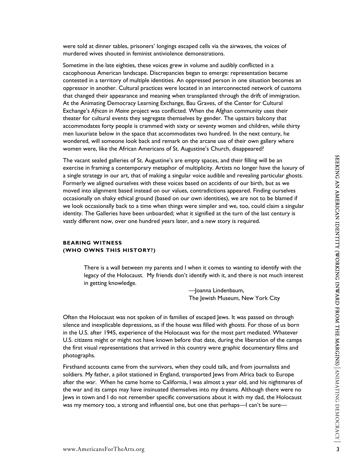were told at dinner tables, prisoners' longings escaped cells via the airwaves, the voices of murdered wives shouted in feminist antiviolence demonstrations.

Sometime in the late eighties, these voices grew in volume and audibly conflicted in a cacophonous American landscape. Discrepancies began to emerge: representation became contested in a territory of multiple identities. An oppressed person in one situation becomes an oppressor in another. Cultural practices were located in an interconnected network of customs that changed their appearance and meaning when transplanted through the drift of immigration. At the Animating Democracy Learning Exchange, Bau Graves, of the Center for Cultural Exchange's *African in Maine* project was conflicted. When the Afghan community uses their theater for cultural events they segregate themselves by gender. The upstairs balcony that accommodates forty people is crammed with sixty or seventy women and children, while thirty men luxuriate below in the space that accommodates two hundred. In the next century, he wondered, will someone look back and remark on the arcane use of their own gallery where women were, like the African Americans of St. Augustine's Church, disappeared?

The vacant sealed galleries of St. Augustine's are empty spaces, and their filling will be an exercise in framing a contemporary metaphor of multiplicity. Artists no longer have the luxury of a single strategy in our art, that of making a singular voice audible and revealing particular ghosts. Formerly we aligned ourselves with these voices based on accidents of our birth, but as we moved into alignment based instead on our values, contradictions appeared. Finding ourselves occasionally on shaky ethical ground (based on our own identities), we are not to be blamed if we look occasionally back to a time when things were simpler and we, too, could claim a singular identity. The Galleries have been unboarded; what it signified at the turn of the last century is vastly different now, over one hundred years later, and a new story is required.

#### **BEARING WITNESS (WHO OWNS THIS HISTORY?)**

There is a wall between my parents and I when it comes to wanting to identify with the legacy of the Holocaust. My friends don't identify with it, and there is not much interest in getting knowledge.

> —Joanna Lindenbaum, The Jewish Museum, New York City

Often the Holocaust was not spoken of in families of escaped Jews. It was passed on through silence and inexplicable depressions, as if the house was filled with ghosts. For those of us born in the U.S. after 1945, experience of the Holocaust was for the most part mediated. Whatever U.S. citizens might or might not have known before that date, during the liberation of the camps the first visual representations that arrived in this country were graphic documentary films and photographs.

Firsthand accounts came from the survivors, when they could talk, and from journalists and soldiers. My father, a pilot stationed in England, transported Jews from Africa back to Europe after the war. When he came home to California, I was almost a year old, and his nightmares of the war and its camps may have insinuated themselves into my dreams. Although there were no Jews in town and I do not remember specific conversations about it with my dad, the Holocaust was my memory too, a strong and influential one, but one that perhaps—I can't be sure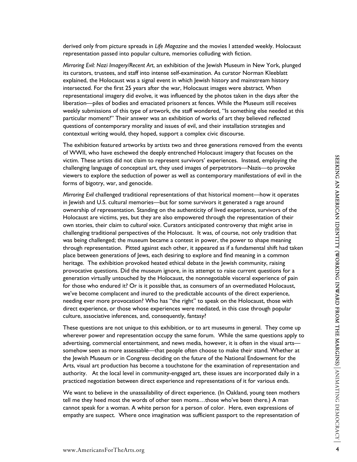derived only from picture spreads in *Life Magazine* and the movies I attended weekly. Holocaust representation passed into popular culture, memories colluding with fiction.

*Mirroring Evil: Nazi Imagery/Recent Art*, an exhibition of the Jewish Museum in New York, plunged its curators, trustees, and staff into intense self-examination. As curator Norman Kleeblatt explained, the Holocaust was a signal event in which Jewish history and mainstream history intersected. For the first 25 years after the war, Holocaust images were abstract. When representational imagery did evolve, it was influenced by the photos taken in the days after the liberation—piles of bodies and emaciated prisoners at fences. While the Museum still receives weekly submissions of this type of artwork, the staff wondered, "Is something else needed at this particular moment?" Their answer was an exhibition of works of art they believed reflected questions of contemporary morality and issues of evil, and their installation strategies and contextual writing would, they hoped, support a complex civic discourse.

The exhibition featured artworks by artists two and three generations removed from the events of WWII, who have eschewed the deeply entrenched Holocaust imagery that focuses on the victim. These artists did not claim to represent survivors' experiences. Instead, employing the challenging language of conceptual art, they used images of perpetrators—Nazis—to provoke viewers to explore the seduction of power as well as contemporary manifestations of evil in the forms of bigotry, war, and genocide.

*Mirroring Evil* challenged traditional representations of that historical moment—how it operates in Jewish and U.S. cultural memories—but for some survivors it generated a rage around ownership of representation. Standing on the authenticity of lived experience, survivors of the Holocaust are victims, yes, but they are also empowered through the representation of their own stories, their claim to *cultural voice*. Curators anticipated controversy that might arise in challenging traditional perspectives of the Holocaust. It was, of course, not only tradition that was being challenged; the museum became a contest in power, the power to shape meaning through representation. Pitted against each other, it appeared as if a fundamental shift had taken place between generations of Jews, each desiring to explore and find meaning in a common heritage. The exhibition provoked heated ethical debate in the lewish community, raising provocative questions. Did the museum ignore, in its attempt to raise current questions for a generation virtually untouched by the Holocaust, the nonnegotiable visceral experience of pain for those who endured it? Or is it possible that, as consumers of an overmediated Holocaust, we've become complacent and inured to the predictable accounts of the direct experience, needing ever more provocation? Who has "the right" to speak on the Holocaust, those with direct experience, or those whose experiences were mediated, in this case through popular culture, associative inferences, and, consequently, fantasy?

These questions are not unique to this exhibition, or to art museums in general. They come up wherever power and representation occupy the same forum. While the same questions apply to advertising, commercial entertainment, and news media, however, it is often in the visual arts somehow seen as more assessable—that people often choose to make their stand. Whether at the Jewish Museum or in Congress deciding on the future of the National Endowment for the Arts, visual art production has become a touchstone for the examination of representation and authority. At the local level in community-engaged art, these issues are incorporated daily in a practiced negotiation between direct experience and representations of it for various ends.

We want to believe in the unassailability of direct experience. (In Oakland, young teen mothers tell me they heed most the words of other teen moms…those who've been there.) A man cannot speak for a woman. A white person for a person of color. Here, even expressions of empathy are suspect. Where once imagination was sufficient passport to the representation of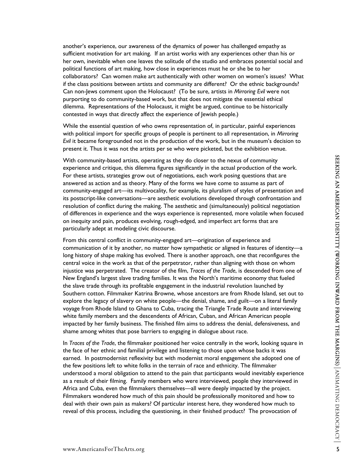another's experience, our awareness of the dynamics of power has challenged empathy as sufficient motivation for art making. If an artist works with any experiences other than his or her own, inevitable when one leaves the solitude of the studio and embraces potential social and political functions of art making, how close in experiences must he or she be to her collaborators? Can women make art authentically with other women on women's issues? What if the class positions between artists and community are different? Or the ethnic backgrounds? Can non-Jews comment upon the Holocaust? (To be sure, artists in *Mirroring Evil* were not purporting to do community-based work, but that does not mitigate the essential ethical dilemma. Representations of the Holocaust, it might be argued, continue to be historically contested in ways that directly affect the experience of Jewish people.)

While the essential question of who owns representation of, in particular, painful experiences with political import for specific groups of people is pertinent to all representation, in *Mirroring Evil* it became foregrounded not in the production of the work, but in the museum's decision to present it. Thus it was not the artists per se who were picketed, but the exhibition venue.

With community-based artists, operating as they do closer to the nexus of community experience and critique, this dilemma figures significantly in the actual production of the work. For these artists, strategies grow out of negotiations, each work posing questions that are answered as action and as theory. Many of the forms we have come to assume as part of community-engaged art—its multivocality, for example, its pluralism of styles of presentation and its postscript-like conversations—are aesthetic evolutions developed through confrontation and resolution of conflict during the making. The aesthetic and (simultaneously) political negotiation of differences in experience and the ways experience is represented, more volatile when focused on inequity and pain, produces evolving, rough-edged, and imperfect art forms that are particularly adept at modeling civic discourse.

From this central conflict in community-engaged art—origination of experience and communication of it by another, no matter how sympathetic or aligned in features of identity—a long history of shape making has evolved. There is another approach, one that reconfigures the central voice in the work as that of the perpetrator, rather than aligning with those on whom injustice was perpetrated. The creator of the film, *Traces of the Trade*, is descended from one of New England's largest slave trading families. It was the North's maritime economy that fueled the slave trade through its profitable engagement in the industrial revolution launched by Southern cotton. Filmmaker Katrina Browne, whose ancestors are from Rhode Island, set out to explore the legacy of slavery on white people—the denial, shame, and guilt—on a literal family voyage from Rhode Island to Ghana to Cuba, tracing the Triangle Trade Route and interviewing white family members and the descendents of African, Cuban, and African American people impacted by her family business. The finished film aims to address the denial, defensiveness, and shame among whites that pose barriers to engaging in dialogue about race.

In *Traces of the Trade*, the filmmaker positioned her voice centrally in the work, looking square in the face of her ethnic and familial privilege and listening to those upon whose backs it was earned. In postmodernist reflexivity but with modernist moral engagement she adopted one of the few positions left to white folks in the terrain of race and ethnicity. The filmmaker understood a moral obligation to attend to the pain that participants would inevitably experience as a result of their filming. Family members who were interviewed, people they interviewed in Africa and Cuba, even the filmmakers themselves—all were deeply impacted by the project. Filmmakers wondered how much of this pain should be professionally monitored and how to deal with their own pain as makers? Of particular interest here, they wondered how much to reveal of this process, including the questioning, in their finished product? The provocation of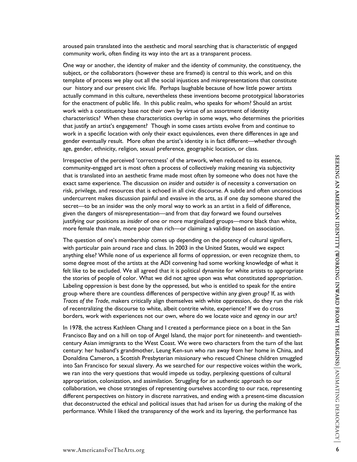aroused pain translated into the aesthetic and moral searching that is characteristic of engaged community work, often finding its way into the art as a transparent process.

One way or another, the identity of maker and the identity of community, the constituency, the subject, or the collaborators (however these are framed) is central to this work, and on this template of process we play out all the social injustices and misrepresentations that constitute our history and our present civic life. Perhaps laughable because of how little power artists actually command in this culture, nevertheless these inventions become prototypical laboratories for the enactment of public life. In this public realm, who speaks for whom? Should an artist work with a constituency base not their own by virtue of an assortment of identity characteristics? When these characteristics overlap in some ways, who determines the priorities that justify an artist's engagement? Though in some cases artists evolve from and continue to work in a specific location with only their exact equivalences, even there differences in age and gender eventually result. More often the artist's identity is in fact different—whether through age, gender, ethnicity, religion, sexual preference, geographic location, or class.

Irrespective of the perceived 'correctness' of the artwork, when reduced to its essence, community-engaged art is most often a process of collectively making meaning via subjectivity that is translated into an aesthetic frame made most often by someone who does not have the exact same experience. The discussion on *insider* and *outsider* is of necessity a conversation on risk, privilege, and resources that is echoed in all civic discourse. A subtle and often unconscious undercurrent makes discussion painful and evasive in the arts, as if one day someone shared the secret—to be an insider was the only moral way to work as an artist in a field of difference, given the dangers of misrepresentation—and from that day forward we found ourselves justifying our positions as *insider* of one or more marginalized groups—more black than white, more female than male, more poor than rich—or claiming a validity based on association.

The question of one's membership comes up depending on the potency of cultural signifiers, with particular pain around race and class. In 2003 in the United States, would we expect anything else? While none of us experience all forms of oppression, or even recognize them, to some degree most of the artists at the ADI convening had some working knowledge of what it felt like to be excluded. We all agreed that it is political dynamite for white artists to appropriate the stories of people of color. What we did not agree upon was what constituted appropriation. Labeling oppression is best done by the oppressed, but who is entitled to speak for the entire group where there are countless differences of perspective within any given group? If, as with *Traces of the Trade*, makers critically align themselves with white oppression, do they run the risk of recentralizing the discourse to white, albeit contrite white, experience? If we do cross borders, work with experiences not our own, where do we locate *voice* and *agency* in our art?

In 1978, the actress Kathleen Chang and I created a performance piece on a boat in the San Francisco Bay and on a hill on top of Angel Island, the major port for nineteenth- and twentiethcentury Asian immigrants to the West Coast. We were two characters from the turn of the last century: her husband's grandmother, Leung Ken-sun who ran away from her home in China, and Donaldina Cameron, a Scottish Presbyterian missionary who rescued Chinese children smuggled into San Francisco for sexual slavery. As we searched for our respective voices within the work, we ran into the very questions that would impede us today, perplexing questions of cultural appropriation, colonization, and assimilation. Struggling for an authentic approach to our collaboration, we chose strategies of representing ourselves according to our race, representing different perspectives on history in discrete narratives, and ending with a present-time discussion that deconstructed the ethical and political issues that had arisen for us during the making of the performance. While I liked the transparency of the work and its layering, the performance has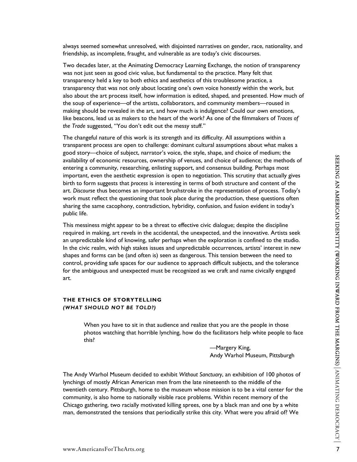always seemed somewhat unresolved, with disjointed narratives on gender, race, nationality, and friendship, as incomplete, fraught, and vulnerable as are today's civic discourses.

Two decades later, at the Animating Democracy Learning Exchange, the notion of transparency was not just seen as good civic value, but fundamental to the practice. Many felt that transparency held a key to both ethics and aesthetics of this troublesome practice, a transparency that was not only about locating one's own voice honestly within the work, but also about the art process itself, how information is edited, shaped, and presented. How much of the soup of experience—of the artists, collaborators, and community members—roused in making should be revealed in the art, and how much is indulgence? Could our own emotions, like beacons, lead us as makers to the heart of the work? As one of the filmmakers of *Traces of the Trade* suggested, "You don't edit out the messy stuff."

The changeful nature of this work is its strength and its difficulty. All assumptions within a transparent process are open to challenge: dominant cultural assumptions about what makes a good story—choice of subject, narrator's voice, the style, shape, and choice of medium; the availability of economic resources, ownership of venues, and choice of audience; the methods of entering a community, researching, enlisting support, and consensus building. Perhaps most important, even the aesthetic expression is open to negotiation. This scrutiny that actually gives birth to form suggests that *process* is interesting in terms of both structure and content of the art. *Discourse* thus becomes an important brushstroke in the representation of process. Today's work must reflect the questioning that took place during the production, these questions often sharing the same cacophony, contradiction, hybridity, confusion, and fusion evident in today's public life.

This messiness might appear to be a threat to effective civic dialogue; despite the discipline required in making, art revels in the accidental, the unexpected, and the innovative. Artists seek an unpredictable kind of knowing, safer perhaps when the exploration is confined to the studio. In the civic realm, with high stakes issues and unpredictable occurrences, artists' interest in new shapes and forms can be (and often is) seen as dangerous. This tension between the need to control, providing safe spaces for our audience to approach difficult subjects, and the tolerance for the ambiguous and unexpected must be recognized as we craft and name civically engaged art.

#### **THE ETHICS OF STORYTELLING** *(WHAT SHOULD NOT BE TOLD?)*

When you have to sit in that audience and realize that you are the people in those photos watching that horrible lynching, how do the facilitators help white people to face this?

> —Margery King, Andy Warhol Museum, Pittsburgh

The Andy Warhol Museum decided to exhibit *Without Sanctuary*, an exhibition of 100 photos of lynchings of mostly African American men from the late nineteenth to the middle of the twentieth century. Pittsburgh, home to the museum whose mission is to be a vital center for the community, is also home to nationally visible race problems. Within recent memory of the Chicago gathering, two racially motivated killing sprees, one by a black man and one by a white man, demonstrated the tensions that periodically strike this city. What were you afraid of? We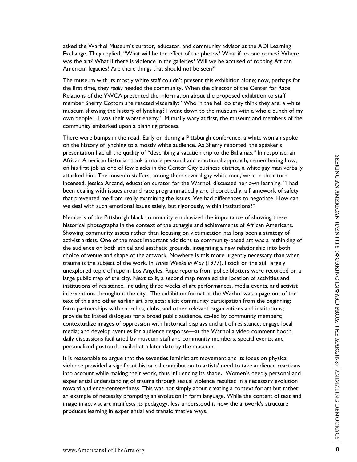asked the Warhol Museum's curator, educator, and community advisor at the ADI Learning Exchange. They replied, "What will be the effect of the photos? What if no one comes? Where was the art? What if there is violence in the galleries? Will we be accused of robbing African American legacies? Are there things that should not be seen?"

The museum with its mostly white staff couldn't present this exhibition alone; now, perhaps for the first time, they *really* needed the community. When the director of the Center for Race Relations of the YWCA presented the information about the proposed exhibition to staff member Sherry Cottom she reacted viscerally: "Who in the hell do they think they are, a white museum showing the history of lynching? I went down to the museum with a whole bunch of my own people…I was their worst enemy." Mutually wary at first, the museum and members of the community embarked upon a planning process.

There were bumps in the road. Early on during a Pittsburgh conference, a white woman spoke on the history of lynching to a mostly white audience. As Sherry reported, the speaker's presentation had all the quality of "describing a vacation trip to the Bahamas." In response, an African American historian took a more personal and emotional approach, remembering how, on his first job as one of few blacks in the Center City business district, a white gay man verbally attacked him. The museum staffers, among them several gay white men, were in their turn incensed. Jessica Arcand, education curator for the Warhol, discussed her own learning. "I had been dealing with issues around race programmatically and theoretically, a framework of safety that prevented me from really examining the issues. We had differences to negotiate. How can we deal with such emotional issues safely, but rigorously, within institutions?"

Members of the Pittsburgh black community emphasized the importance of showing these historical photographs in the context of the struggle and achievements of African Americans. Showing community assets rather than focusing on victimization has long been a strategy of activist artists. One of the most important additions to community-based art was a rethinking of the audience on both ethical and aesthetic grounds, integrating a new relationship into both choice of venue and shape of the artwork. Nowhere is this more urgently necessary than when trauma is the subject of the work. In *Three Weeks in May* (1977), I took on the still largely unexplored topic of rape in Los Angeles. Rape reports from police blotters were recorded on a large public map of the city. Next to it, a second map revealed the location of activities and institutions of resistance, including three weeks of art performances, media events, and activist interventions throughout the city. The exhibition format at the Warhol was a page out of the text of this and other earlier art projects: elicit community participation from the beginning; form partnerships with churches, clubs, and other relevant organizations and institutions; provide facilitated dialogues for a broad public audience, co-led by community members; contextualize images of oppression with historical displays and art of resistance; engage local media; and develop avenues for audience response—at the Warhol a video comment booth, daily discussions facilitated by museum staff and community members, special events, and personalized postcards mailed at a later date by the museum.

It is reasonable to argue that the seventies feminist art movement and its focus on physical violence provided a significant historical contribution to artists' need to take audience reactions into account while making their work, thus influencing its shape**.** Women's deeply personal and experiential understanding of trauma through sexual violence resulted in a necessary evolution toward audience-centeredness. This was not simply about creating a context for art but rather an example of necessity prompting an evolution in form language. While the content of text and image in activist art manifests its pedagogy, less understood is how the artwork's structure produces learning in experiential and transformative ways.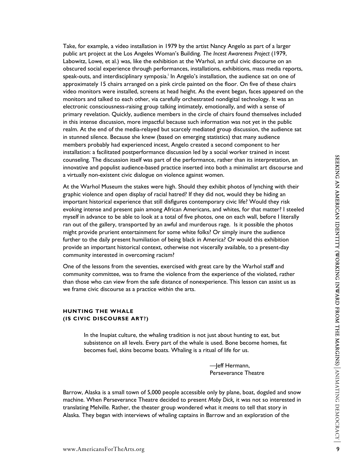Take, for example, a video installation in 1979 by the artist Nancy Angelo as part of a larger public art project at the Los Angeles Woman's Building. *The Incest Awareness Project* (1979, Labowitz, Lowe, et al.) was, like the exhibition at the Warhol, an artful civic discourse on an obscured social experience through performances, installations, exhibitions, mass media reports, speak-outs,and interdisciplinary symposia.<sup>i</sup> In Angelo's installation, the audience sat on one of approximately 15 chairs arranged on a pink circle painted on the floor. On five of these chairs video monitors were installed, screens at head height. As the event began, faces appeared on the monitors and talked to each other, via carefully orchestrated nondigital technology. It was an electronic consciousness-raising group talking intimately, emotionally, and with a sense of primary revelation. Quickly, audience members in the circle of chairs found themselves included in this intense discussion, more impactful because such information was not yet in the public realm. At the end of the media-relayed but scarcely mediated group discussion, the audience sat in stunned silence. Because she knew (based on emerging statistics) that many audience members probably had experienced incest, Angelo created a second component to her installation: a facilitated postperformance discussion led by a social worker trained in incest counseling. The discussion itself was part of the performance, rather than its interpretation, an innovative and populist audience-based practice inserted into both a minimalist art discourse and a virtually non-existent civic dialogue on violence against women.

At the Warhol Museum the stakes were high. Should they exhibit photos of lynching with their graphic violence and open display of racial hatred? If they did not, would they be hiding an important historical experience that still disfigures contemporary civic life? Would they risk evoking intense and present pain among African Americans, and whites, for that matter? I steeled myself in advance to be able to look at a total of five photos, one on each wall, before I literally ran out of the gallery, transported by an awful and murderous rage. Is it possible the photos might provide prurient entertainment for some white folks? Or simply inure the audience further to the daily present humiliation of being black in America? Or would this exhibition provide an important historical context, otherwise not viscerally available, to a present-day community interested in overcoming racism?

One of the lessons from the seventies, exercised with great care by the Warhol staff and community committee, was to frame the violence from the experience of the violated, rather than those who can view from the safe distance of nonexperience. This lesson can assist us as we frame civic discourse as a practice within the arts.

#### **HUNTING THE WHALE (IS CIVIC DISCOURSE ART?)**

In the Inupiat culture, the whaling tradition is not just about hunting to eat, but subsistence on all levels. Every part of the whale is used. Bone become homes, fat becomes fuel, skins become boats. Whaling is a ritual of life for us.

> —Jeff Hermann, Perseverance Theatre

Barrow, Alaska is a small town of 5,000 people accessible only by plane, boat, dogsled and snow machine. When Perseverance Theatre decided to present *Moby Dick,* it was not so interested in translating Melville. Rather, the theater group wondered what it *means* to tell that story in Alaska. They began with interviews of whaling captains in Barrow and an exploration of the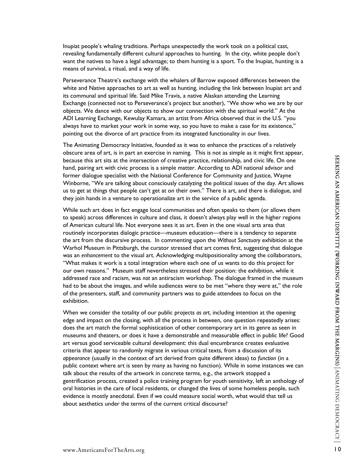Inupiat people's whaling traditions. Perhaps unexpectedly the work took on a political cast, revealing fundamentally different cultural approaches to hunting. In the city, white people don't want the natives to have a legal advantage; to them hunting is a sport. To the Inupiat, hunting is a means of survival, a ritual, and a way of life.

Perseverance Theatre's exchange with the whalers of Barrow exposed differences between the white and Native approaches to art as well as hunting, including the link between Inupiat art and its communal and spiritual life. Said Mike Travis, a native Alaskan attending the Learning Exchange (connected not to Perseverance's project but another), "We show who we are by our objects. We dance with our objects to show our connection with the spiritual world." At the ADI Learning Exchange, Kewulay Kamara, an artist from Africa observed that in the U.S. "you always have to market your work in some way, so you have to make a case for its existence," pointing out the divorce of art practice from its integrated functionality in our lives.

The Animating Democracy Initiative, founded as it was to enhance the practices of a relatively obscure area of art, is in part an exercise in naming. This is not as simple as it might first appear, because this art sits at the intersection of creative practice, relationship, and civic life. On one hand, pairing art with civic process is a simple matter. According to ADI national advisor and former dialogue specialist with the National Conference for Community and Justice, Wayne Winborne, "We are talking about consciously catalyzing the political issues of the day. Art allows us to get at things that people can't get at on their own." There is art, and there is dialogue, and they join hands in a venture to operationalize art in the service of a public agenda.

While such art does in fact engage local communities and often speaks to them (or allows them to speak) across differences in culture and class, it doesn't always play well in the higher regions of American cultural life. Not everyone sees it as art. Even in the one visual arts area that routinely incorporates dialogic practice—museum education—there is a tendency to separate the art from the discursive process. In commenting upon the *Without Sanctuary* exhibition at the Warhol Museum in Pittsburgh, the curator stressed that art comes first, suggesting that dialogue was an *enhancement* to the visual art. Acknowledging multipositionality among the collaborators, "What makes it work is a total integration where each one of us wants to do this project for our own reasons." Museum staff nevertheless stressed their position: the exhibition, while it addressed race and racism, was *not* an antiracism workshop. The dialogue framed in the museum had to be about the images, and while audiences were to be met "where they were at," the role of the presenters, staff, and community partners was to guide attendees to focus on the exhibition.

When we consider the totality of our public projects *as art*, including intention at the opening edge and impact on the closing, with all the process in between, one question repeatedly arises: does the art match the formal sophistication of other contemporary art in its genre as seen in museums and theaters, or does it have a demonstrable and measurable effect in public life? Good art versus good serviceable cultural development: this dual encumbrance creates evaluative criteria that appear to randomly migrate in various critical texts, from a discussion of its *appearance* (usually in the context of art derived from quite different ideas) to *function* (in a public context where art is seen by many as having no function). While in some instances we can talk about the results of the artwork in concrete terms, e.g., the artwork stopped a gentrification process, created a police training program for youth sensitivity, left an anthology of oral histories in the care of local residents, or changed the lives of some homeless people, such evidence is mostly anecdotal. Even if we could measure social worth, what would that tell us about aesthetics under the terms of the current critical discourse?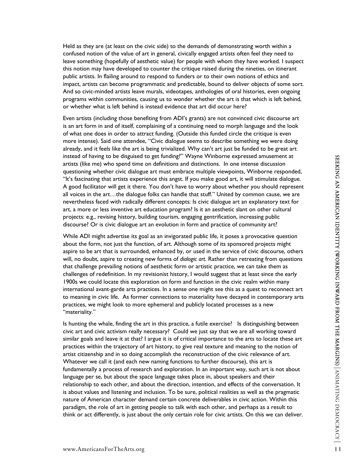Held as they are (at least on the civic side) to the demands of demonstrating worth within a confused notion of the value of art in general, civically engaged artists often feel they need to leave something (hopefully of aesthetic value) for people with whom they have worked. I suspect this notion may have developed to counter the critique raised during the nineties, on itinerant public artists. In flailing around to respond to funders or to their own notions of ethics and impact, artists can become programmatic and predictable, bound to deliver objects of some sort. And so civic-minded artists leave murals, videotapes, anthologies of oral histories, even ongoing programs within communities, causing us to wonder whether the art is that which is left behind, or whether what is left behind is instead evidence that art did occur here?

Even artists (including those benefiting from ADI's grants) are not convinced civic discourse art is an art form in and of itself, complaining of a continuing need to morph language and the look of what one does in order to attract funding. (Outside this funded circle the critique is even more intense). Said one attendee, "Civic dialogue seems to describe something we were doing already, and it feels like the art is being trivialized. Why can't art just be funded to be great art instead of having to be disguised to get funding?" Wayne Winborne expressed amusement at artists (like me) who spend time on definitions and distinctions. In one intense discussion questioning whether civic dialogue art must embrace multiple viewpoints, Winborne responded, "It's fascinating that artists experience this angst. If you make good art, it will stimulate dialogue. A good facilitator will get it there. You don't have to worry about whether you should represent all voices in the art…the dialogue folks can handle that stuff." United by common cause, we are nevertheless faced with radically different concepts: Is civic dialogue art an explanatory text for art, a more or less inventive art education program? Is it an aesthetic slant on other cultural projects: e.g., revising history, building tourism, engaging gentrification, increasing public discourse? Or is civic dialogue art an evolution in form and practice of community art?

While ADI might advertise its goal as an invigorated public life, it poses a provocative question about the form, not just the function, of art. Although some of its sponsored projects might aspire to be art that is surrounded, enhanced by, or used in the service of civic discourse, others will, no doubt, aspire to creating new forms of *dialogic art*. Rather than retreating from questions that challenge prevailing notions of aesthetic form or artistic practice, we can take them as challenges of redefinition. In my revisionist history, I would suggest that at least since the early 1900s we could locate this exploration on form and function in the civic realm within many international avant-garde arts practices. In a sense one might see this as a quest to reconnect art to meaning in civic life. As former connections to materiality have decayed in contemporary arts practices, we might look to more ephemeral and publicly located processes as a new "materiality."

Is hunting the whale, finding the art in this practice, a futile exercise? Is distinguishing between civic art and civic activism really necessary? Could we just say that we are all working toward similar goals and leave it at that? I argue it is of critical importance to the arts to locate these art practices within the trajectory of art history, to give real texture and meaning to the notion of artist citizenship and in so doing accomplish the reconstruction of the civic relevance of art. Whatever we call it (and each new naming functions to further discourse), this art is fundamentally a process of research and exploration. In an important way, such art is not about language per se, but about the space language takes place in, about speakers and their relationship to each other, and about the direction, intention, and effects of the conversation. It is about values and listening and inclusion. To be sure, political realities as well as the pragmatic nature of American character demand certain concrete deliverables in civic action. Within this paradigm, the role of art in getting people to talk with each other, and perhaps as a result to think or act differently, is just about the only certain role for civic artists. On this we can deliver.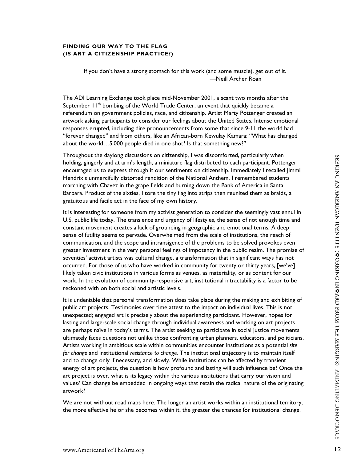#### **FINDING OUR WAY TO THE FLAG (IS ART A CITIZENSHIP PRACTICE?)**

If you don't have a strong stomach for this work (and some muscle), get out of it. —Neill Archer Roan

The ADI Learning Exchange took place mid-November 2001, a scant two months after the September 11<sup>th</sup> bombing of the World Trade Center, an event that quickly became a referendum on government policies, race, and citizenship. Artist Marty Pottenger created an artwork asking participants to consider our feelings about the United States. Intense emotional responses erupted, including dire pronouncements from some that since 9-11 the world had "forever changed" and from others, like an African-born Kewulay Kamara: "What has changed about the world…5,000 people died in one shot? Is that something new?"

Throughout the daylong discussions on citizenship, I was discomforted, particularly when holding, gingerly and at arm's length, a miniature flag distributed to each participant. Pottenger encouraged us to express through it our sentiments on citizenship. Immediately I recalled Jimmi Hendrix's unmercifully distorted rendition of the National Anthem. I remembered students marching with Chavez in the grape fields and burning down the Bank of America in Santa Barbara. Product of the sixties, I tore the tiny flag into strips then reunited them as braids, a gratuitous and facile act in the face of my own history.

It is interesting for someone from my activist generation to consider the seemingly vast ennui in U.S. public life today. The transience and urgency of lifestyles, the sense of not enough time and constant movement creates a lack of grounding in geographic and emotional terms. A deep sense of futility seems to pervade. Overwhelmed from the scale of institutions, the reach of communication, and the scope and intransigence of the problems to be solved provokes even greater investment in the very personal feelings of impotency in the public realm. The promise of seventies' activist artists was cultural change, a transformation that in significant ways has not occurred. For those of us who have worked in community for twenty or thirty years, [we've] likely taken civic institutions in various forms as venues, as materiality, or as content for our work. In the evolution of community-responsive art, institutional intractability is a factor to be reckoned with on both social and artistic levels.

It is undeniable that personal transformation does take place during the making and exhibiting of public art projects. Testimonies over time attest to the impact on individual lives. This is not unexpected; engaged art is precisely about the experiencing participant. However, hopes for lasting and large-scale social change through individual awareness and working on art projects are perhaps naïve in today's terms. The artist seeking to participate in social justice movements ultimately faces questions not unlike those confronting urban planners, educators, and politicians. Artists working in ambitious scale within communities encounter institutions as a potential *site for change* and institutional *resistance to change.* The institutional trajectory is to maintain itself and to change only if necessary, and slowly. While institutions can be affected by transient energy of art projects, the question is how profound and lasting will such influence be? Once the art project is over, what is its legacy within the various institutions that carry our vision and values? Can change be embedded in ongoing ways that retain the radical nature of the originating artwork?

We are not without road maps here. The longer an artist works within an institutional territory, the more effective he or she becomes within it, the greater the chances for institutional change.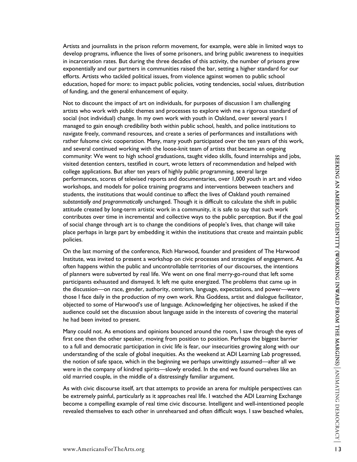Artists and journalists in the prison reform movement, for example, were able in limited ways to develop programs, influence the lives of some prisoners, and bring public awareness to inequities in incarceration rates. But during the three decades of this activity, the number of prisons grew exponentially and our partners in communities raised the bar, setting a higher standard for our efforts. Artists who tackled political issues, from violence against women to public school education, hoped for more: to impact public policies, voting tendencies, social values, distribution of funding, and the general enhancement of equity.

Not to discount the impact of art on individuals, for purposes of discussion I am challenging artists who work with public themes and processes to explore with me a rigorous standard of social (not individual) change. In my own work with youth in Oakland, over several years I managed to gain enough credibility both within public school, health, and police institutions to navigate freely, command resources, and create a series of performances and installations with rather fulsome civic cooperation. Many, many youth participated over the ten years of this work, and several continued working with the loose-knit team of artists that became an ongoing community: We went to high school graduations, taught video skills, found internships and jobs, visited detention centers, testified in court, wrote letters of recommendation and helped with college applications. But after ten years of highly public programming, several large performances, scores of televised reports and documentaries, over 1,000 youth in art and video workshops, and models for police training programs and interventions between teachers and students, the institutions that would continue to affect the lives of Oakland youth remained *substantially and programmatically* unchanged. Though it is difficult to calculate the shift in public attitude created by long-term artistic work in a community, it is safe to say that such work contributes over time in incremental and collective ways to the public perception. But if the goal of social change through art is to change the conditions of people's lives, that change will take place perhaps in large part by embedding it within the institutions that create and maintain public policies.

On the last morning of the conference, Rich Harwood, founder and president of The Harwood Institute, was invited to present a workshop on civic processes and strategies of engagement. As often happens within the public and uncontrollable territories of our discourses, the intentions of planners were subverted by real life. We went on one final merry-go-round that left some participants exhausted and dismayed. It left me quite energized. The problems that came up in the discussion—on race, gender, authority, centrism, language, expectations, and power—were those I face daily in the production of my own work. Rha Goddess, artist and dialogue facilitator, objected to some of Harwood's use of language. Acknowledging her objectives, he asked if the audience could set the discussion about language aside in the interests of covering the material he had been invited to present.

Many could not. As emotions and opinions bounced around the room, I saw through the eyes of first one then the other speaker, moving from position to position. Perhaps the biggest barrier to a full and democratic participation in civic life is fear, our insecurities growing along with our understanding of the scale of global inequities. As the weekend at ADI Learning Lab progressed, the notion of safe space, which in the beginning we perhaps unwittingly assumed—after all we were in the company of kindred spirits—slowly eroded. In the end we found ourselves like an old married couple, in the middle of a distressingly familiar argument.

As with civic discourse itself, art that attempts to provide an arena for multiple perspectives can be extremely painful, particularly as it approaches real life. I watched the ADI Learning Exchange become a compelling example of real time civic discourse. Intelligent and well-intentioned people revealed themselves to each other in unrehearsed and often difficult ways. I saw beached whales,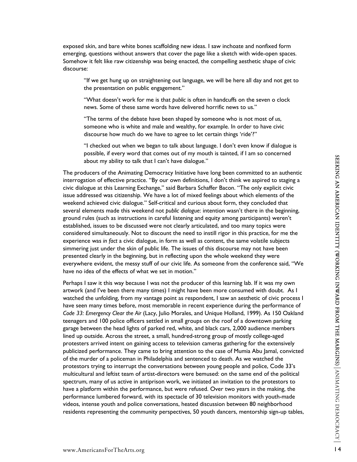"If we get hung up on straightening out language, we will be here all day and not get to the presentation on public engagement."

"What doesn't work for me is that *public* is often in handcuffs on the seven o clock news. Some of these same words have delivered horrific news to us."

"The terms of the debate have been shaped by someone who is not most of *us*, someone who is white and male and wealthy, for example. In order to have civic discourse how much do we have to agree to let certain things 'ride'?"

"I checked out when we began to talk about language. I don't even know if dialogue is possible, if every word that comes out of my mouth is tainted, if I am so concerned about my ability to talk that I can't have dialogue."

The producers of the Animating Democracy Initiative have long been committed to an authentic interrogation of effective practice. "By our own definitions, I don't think we aspired to staging a civic dialogue at this Learning Exchange," said Barbara Schaffer Bacon. "The only explicit civic issue addressed was citizenship. We have a lot of mixed feelings about which elements of the weekend achieved civic dialogue." Self-critical and curious about form, they concluded that several elements made this weekend not *public dialogue*: intention wasn't there in the beginning, ground rules (such as instructions in careful listening and equity among participants) weren't established, issues to be discussed were not clearly articulated, and too many topics were considered simultaneously. Not to discount the need to instill rigor in this practice, for me the experience was *in fact* a civic dialogue, in form as well as content, the same volatile subjects simmering just under the skin of public life. The issues of this discourse may not have been presented clearly in the beginning, but in reflecting upon the whole weekend they were everywhere evident, the messy stuff of our civic life. As someone from the conference said, "We have no idea of the effects of what we set in motion."

Perhaps I saw it this way because I was not the producer of this learning lab. If it was my own artwork (and I've been there many times) I might have been more consumed with doubt. As I watched the unfolding, from my vantage point as respondent, I saw an aesthetic of civic process I have seen many times before, most memorable in recent experience during the performance of *Code 33: Emergency Clear the Air* (Lacy, Julio Morales, and Unique Holland, 1999). As 150 Oakland teenagers and 100 police officers settled in small groups on the roof of a downtown parking garage between the head lights of parked red, white, and black cars, 2,000 audience members lined up outside. Across the street, a small, hundred-strong group of mostly college-aged protesters arrived intent on gaining access to television cameras gathering for the extensively publicized performance. They came to bring attention to the case of Mumia Abu Jamal, convicted of the murder of a policeman in Philadelphia and sentenced to death. As we watched the protestors trying to interrupt the conversations between young people and police, Code 33's multicultural and leftist team of artist-directors were bemused: on the same end of the political spectrum, many of us active in antiprison work, we initiated an invitation to the protestors to have a platform within the performance, but were refused. Over two years in the making, the performance lumbered forward, with its spectacle of 30 television monitors with youth-made videos, intense youth and police conversations, heated discussion between 80 neighborhood residents representing the community perspectives, 50 youth dancers, mentorship sign-up tables,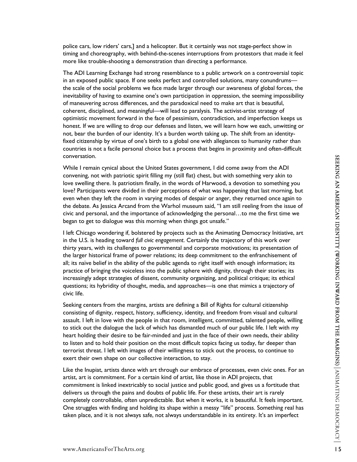police cars, low riders' cars,] and a helicopter. But it certainly was not stage-perfect show in timing and choreography, with behind-the-scenes interruptions from protestors that made it feel more like trouble-shooting a demonstration than directing a performance.

The ADI Learning Exchange had strong resemblance to a public artwork on a controversial topic in an exposed public space. If one seeks perfect and controlled solutions, many conundrums the scale of the social problems we face made larger through our awareness of global forces, the inevitability of having to examine one's own participation in oppression, the seeming impossibility of maneuvering across differences, and the paradoxical need to make art that is beautiful, coherent, disciplined, and meaningful—will lead to paralysis. The activist-artist strategy of optimistic movement forward in the face of pessimism, contradiction, and imperfection keeps us honest. If we are willing to drop our defenses and listen, we will learn how we each, unwitting or not, bear the burden of our identity. It's a burden worth taking up. The shift from an identityfixed citizenship by virtue of one's birth to a global one with allegiances to humanity rather than countries is not a facile personal choice but a process that begins in proximity and often-difficult conversation.

While I remain cynical about the United States government, I did come away from the ADI convening, not with patriotic spirit filling my (still flat) chest, but with something very akin to love swelling there. Is patriotism finally, in the words of Harwood, a devotion to something you love? Participants were divided in their perceptions of what was happening that last morning, but even when they left the room in varying modes of despair or anger, they returned once again to the debate. As Jessica Arcand from the Warhol museum said, "I am still reeling from the issue of civic and personal, and the importance of acknowledging the personal…to me the first time we began to get to dialogue was this morning when things got unsafe."

I left Chicago wondering if, bolstered by projects such as the Animating Democracy Initiative, art in the U.S. is heading toward *full civic engagement*. Certainly the trajectory of this work over thirty years, with its challenges to governmental and corporate motivations; its presentation of the larger historical frame of power relations; its deep commitment to the enfranchisement of all; its naïve belief in the ability of the public agenda to right itself with enough information; its practice of bringing the voiceless into the public sphere with dignity, through their stories; its increasingly adept strategies of dissent, community organizing, and political critique; its ethical questions; its hybridity of thought, media, and approaches—is one that mimics a trajectory of civic life.

Seeking centers from the margins, artists are defining a Bill of Rights for cultural citizenship consisting of dignity, respect, history, sufficiency, identity, and freedom from visual and cultural assault. I left in love with the people in that room, intelligent, committed, talented people, willing to stick out the dialogue the lack of which has dismantled much of our public life. I left with my heart holding their desire to be fair-minded and just in the face of their own needs, their ability to listen and to hold their position on the most difficult topics facing us today, far deeper than terrorist threat. I left with images of their willingness to stick out the process, to continue to exert their own shape on our collective interaction, to stay.

Like the Inupiat, artists dance with art through our embrace of processes, even civic ones. For an artist, art is commitment. For a certain kind of artist, like those in ADI projects, that commitment is linked inextricably to social justice and public good, and gives us a fortitude that delivers us through the pains and doubts of public life. For these artists, their art is rarely completely controllable, often unpredictable. But when it works, it is beautiful. It feels important. One struggles with finding and holding its shape within a messy "life" process. Something real has taken place, and it is not always safe, not always understandable in its entirety. It's an imperfect